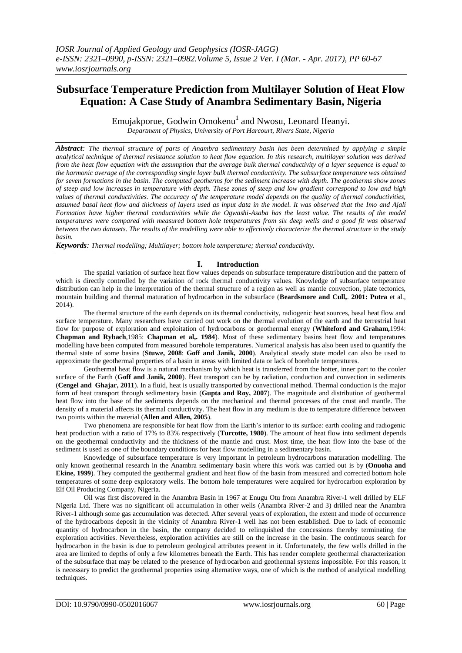# **Subsurface Temperature Prediction from Multilayer Solution of Heat Flow Equation: A Case Study of Anambra Sedimentary Basin, Nigeria**

Emujakporue, Godwin Omokenu<sup>1</sup> and Nwosu, Leonard Ifeanyi.

*Department of Physics, University of Port Harcourt, Rivers State, Nigeria*

*Abstract: The thermal structure of parts of Anambra sedimentary basin has been determined by applying a simple analytical technique of thermal resistance solution to heat flow equation. In this research, multilayer solution was derived from the heat flow equation with the assumption that the average bulk thermal conductivity of a layer sequence is equal to the harmonic average of the corresponding single layer bulk thermal conductivity. The subsurface temperature was obtained for seven formations in the basin. The computed geotherms for the sediment increase with depth. The geotherms show zones of steep and low increases in temperature with depth. These zones of steep and low gradient correspond to low and high values of thermal conductivities. The accuracy of the temperature model depends on the quality of thermal conductivities, assumed basal heat flow and thickness of layers used as input data in the model. It was observed that the Imo and Ajali Formation have higher thermal conductivities while the Ogwashi-Asaba has the least value. The results of the model temperatures were compared with measured bottom hole temperatures from six deep wells and a good fit was observed between the two datasets. The results of the modelling were able to effectively characterize the thermal structure in the study basin.*

*Keywords: Thermal modelling; Multilayer; bottom hole temperature; thermal conductivity.*

### **I. Introduction**

The spatial variation of surface heat flow values depends on subsurface temperature distribution and the pattern of which is directly controlled by the variation of rock thermal conductivity values. Knowledge of subsurface temperature distribution can help in the interpretation of the thermal structure of a region as well as mantle convection, plate tectonics, mountain building and thermal maturation of hydrocarbon in the subsurface (**Beardsmore and Cull,**. **2001: Putra** et al., 2014).

The thermal structure of the earth depends on its thermal conductivity, radiogenic heat sources, basal heat flow and surface temperature. Many researchers have carried out work on the thermal evolution of the earth and the terrestrial heat flow for purpose of exploration and exploitation of hydrocarbons or geothermal energy (**Whiteford and Graham,**1994: **Chapman and Rybach**,1985: **Chapman et al,. 1984**). Most of these sedimentary basins heat flow and temperatures modelling have been computed from measured borehole temperatures. Numerical analysis has also been used to quantify the thermal state of some basins (**Stuwe, 2008**: **Goff and Janik, 2000**). Analytical steady state model can also be used to approximate the geothermal properties of a basin in areas with limited data or lack of borehole temperatures.

Geothermal heat flow is a natural mechanism by which heat is transferred from the hotter, inner part to the cooler surface of the Earth (**Goff and Janik, 2000**). Heat transport can be by radiation, conduction and convection in sediments (**Cengel and Ghajar, 2011**). In a fluid, heat is usually transported by convectional method. Thermal conduction is the major form of heat transport through sedimentary basin (**Gupta and Roy, 2007**). The magnitude and distribution of geothermal heat flow into the base of the sediments depends on the mechanical and thermal processes of the crust and mantle. The density of a material affects its thermal conductivity. The heat flow in any medium is due to temperature difference between two points within the material (**Allen and Allen, 2005**).

Two phenomena are responsible for heat flow from the Earth's interior to its surface: earth cooling and radiogenic heat production with a ratio of 17% to 83% respectively (**Turcotte, 1980**). The amount of heat flow into sediment depends on the geothermal conductivity and the thickness of the mantle and crust. Most time, the heat flow into the base of the sediment is used as one of the boundary conditions for heat flow modelling in a sedimentary basin.

Knowledge of subsurface temperature is very important in petroleum hydrocarbons maturation modelling. The only known geothermal research in the Anambra sedimentary basin where this work was carried out is by (**Onuoha and Ekine, 1999**). They computed the geothermal gradient and heat flow of the basin from measured and corrected bottom hole temperatures of some deep exploratory wells. The bottom hole temperatures were acquired for hydrocarbon exploration by Elf Oil Producing Company, Nigeria.

Oil was first discovered in the Anambra Basin in 1967 at Enugu Otu from Anambra River-1 well drilled by ELF Nigeria Ltd. There was no significant oil accumulation in other wells (Anambra River-2 and 3) drilled near the Anambra River-1 although some gas accumulation was detected. After several years of exploration, the extent and mode of occurrence of the hydrocarbons deposit in the vicinity of Anambra River-1 well has not been established. Due to lack of economic quantity of hydrocarbon in the basin, the company decided to relinquished the concessions thereby terminating the exploration activities. Nevertheless, exploration activities are still on the increase in the basin. The continuous search for hydrocarbon in the basin is due to petroleum geological attributes present in it. Unfortunately, the few wells drilled in the area are limited to depths of only a few kilometres beneath the Earth. This has render complete geothermal characterization of the subsurface that may be related to the presence of hydrocarbon and geothermal systems impossible. For this reason, it is necessary to predict the geothermal properties using alternative ways, one of which is the method of analytical modelling techniques.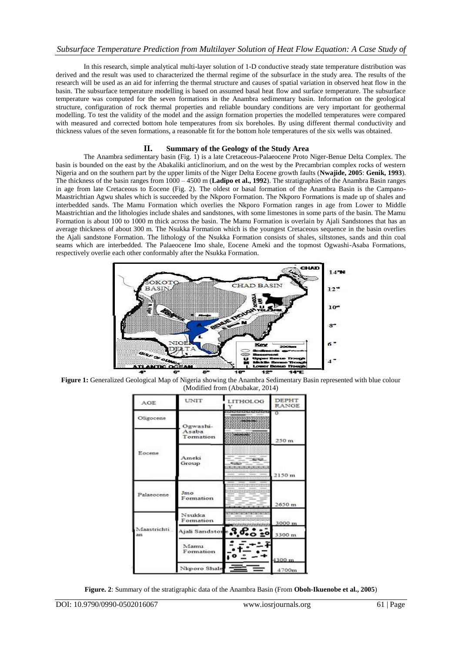## *Subsurface Temperature Prediction from Multilayer Solution of Heat Flow Equation: A Case Study of*

In this research, simple analytical multi-layer solution of 1-D conductive steady state temperature distribution was derived and the result was used to characterized the thermal regime of the subsurface in the study area. The results of the research will be used as an aid for inferring the thermal structure and causes of spatial variation in observed heat flow in the basin. The subsurface temperature modelling is based on assumed basal heat flow and surface temperature. The subsurface temperature was computed for the seven formations in the Anambra sedimentary basin. Information on the geological structure, configuration of rock thermal properties and reliable boundary conditions are very important for geothermal modelling. To test the validity of the model and the assign formation properties the modelled temperatures were compared with measured and corrected bottom hole temperatures from six boreholes. By using different thermal conductivity and thickness values of the seven formations, a reasonable fit for the bottom hole temperatures of the six wells was obtained.

### **II. Summary of the Geology of the Study Area**

The Anambra sedimentary basin (Fig. 1) is a late Cretaceous-Palaeocene Proto Niger-Benue Delta Complex. The basin is bounded on the east by the Abakaliki anticlinorium, and on the west by the Precambrian complex rocks of western Nigeria and on the southern part by the upper limits of the Niger Delta Eocene growth faults (**Nwajide, 2005**: **Genik, 1993**). The thickness of the basin ranges from 1000 – 4500 m (**Ladipo et al., 1992**). The stratigraphies of the Anambra Basin ranges in age from late Cretaceous to Eocene (Fig. 2). The oldest or basal formation of the Anambra Basin is the Campano-Maastrichtian Agwu shales which is succeeded by the Nkporo Formation. The Nkporo Formations is made up of shales and interbedded sands. The Mamu Formation which overlies the Nkporo Formation ranges in age from Lower to Middle Maastrichtian and the lithologies include shales and sandstones, with some limestones in some parts of the basin. The Mamu Formation is about 100 to 1000 m thick across the basin. The Mamu Formation is overlain by Ajali Sandstones that has an average thickness of about 300 m. The Nsukka Formation which is the youngest Cretaceous sequence in the basin overlies the Ajali sandstone Formation. The lithology of the Nsukka Formation consists of shales, siltstones, sands and thin coal seams which are interbedded. The Palaeocene Imo shale, Eocene Ameki and the topmost Ogwashi-Asaba Formations, respectively overlie each other conformably after the Nsukka Formation.



**Figure 1:** Generalized Geological Map of Nigeria showing the Anambra Sedimentary Basin represented with blue colour (Modified from (Abubakar, 2014)

| AGE                    | <b>UNIT</b>         | LITHOLOG<br>Y                                      | <b>DEPHT</b><br><b>RANGE</b> |
|------------------------|---------------------|----------------------------------------------------|------------------------------|
| Oligocene              | Ogwashi-            |                                                    | $\sigma$                     |
| Eocene.                | Asaba<br>Tormation  | <b>CARL AND IN</b>                                 | 250 <sub>m</sub>             |
|                        | Amelci<br>Group     | $-12$<br><b>City</b><br>المقمانية والمقمة والمقامة | 2150 m                       |
| Palaeocene             | Jmo<br>Formation    |                                                    | 2650 m                       |
|                        | Nsukka<br>Formation | alakat alakakat                                    | 3000 m                       |
| Maastrichti<br>$3 + 1$ | Ajali Sandstore     | ໐ ≛°                                               | 3300 m                       |
|                        | Mamu<br>Formation   |                                                    | 4300 m                       |
|                        | Nicporo Shale       |                                                    | 4700m                        |

**Figure. 2**: Summary of the stratigraphic data of the Anambra Basin (From **Oboh-Ikuenobe et al., 2005**)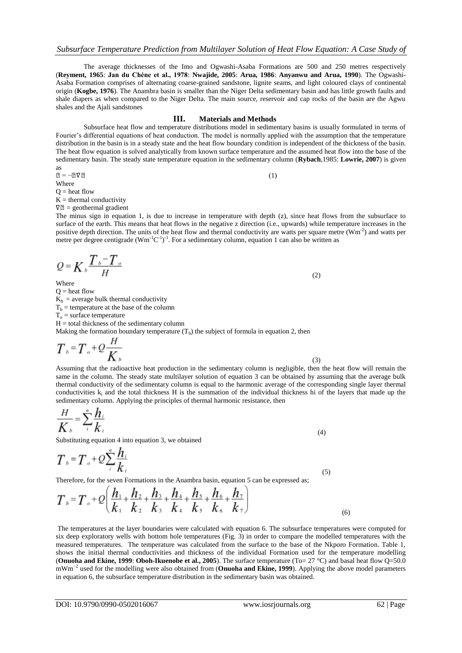The average thicknesses of the Imo and Ogwashi-Asaba Formations are 500 and 250 metres respectively (**Reyment, 1965**: **Jan du Chėne et al., 1978**: **Nwajide, 2005**: **Arua, 1986**: **Anyanwu and Arua, 1990**). The Ogwashi-Asaba Formation comprises of alternating coarse-grained sandstone, lignite seams, and light coloured clays of continental origin (**Kogbe, 1976**). The Anambra basin is smaller than the Niger Delta sedimentary basin and has little growth faults and shale diapers as when compared to the Niger Delta. The main source, reservoir and cap rocks of the basin are the Agwu shales and the Ajali sandstones

#### **III. Materials and Methods**

Subsurface heat flow and temperature distributions model in sedimentary basins is usually formulated in terms of Fourier"s differential equations of heat conduction. The model is normally applied with the assumption that the temperature distribution in the basin is in a steady state and the heat flow boundary condition is independent of the thickness of the basin. The heat flow equation is solved analytically from known surface temperature and the assumed heat flow into the base of the sedimentary basin. The steady state temperature equation in the sedimentary column (**Rybach**,1985: **Lowrie, 2007**) is given as

$$
\mathbf{Z} = -\mathbf{Z}\nabla\mathbf{Z} \tag{1}
$$

Where

 $Q = heat flow$ 

 $K =$  thermal conductivity

 $\nabla \mathbb{Z}$  = geothermal gradient

The minus sign in equation 1, is due to increase in temperature with depth (z), since heat flows from the subsurface to surface of the earth. This means that heat flows in the negative z direction (i.e., upwards) while temperature increases in the positive depth direction. The units of the heat flow and thermal conductivity are watts per square metre  $(Wm^{-2})$  and watts per metre per degree centigrade  $(Wm^{-1}C^{-1})^{-1}$ . For a sedimentary column, equation 1 can also be written as

(2)

Where

 $Q = heat flow$  $K_b$  = average bulk thermal conductivity  $T_b$  = temperature at the base of the column  $T<sub>o</sub>$  = surface temperature

 $H =$  total thickness of the sedimentary column

Making the formation boundary temperature  $(T_b)$  the subject of formula in equation 2, then

$$
T_{b} = T_{c} + Q \frac{H}{K_{b}}
$$

 (3) Assuming that the radioactive heat production in the sedimentary column is negligible, then the heat flow will remain the same in the column. The steady state multilayer solution of equation 3 can be obtained by assuming that the average bulk thermal conductivity of the sedimentary column is equal to the harmonic average of the corresponding single layer thermal conductivities  $k_i$  and the total thickness H is the summation of the individual thickness hi of the layers that made up the sedimentary column. Applying the principles of thermal harmonic resistance, then

$$
\frac{H}{K_b} = \sum_{i}^{n} \frac{h_i}{k_i}
$$
\n(4)

Substituting equation 4 into equation 3, we obtained

$$
T_{b} = T_{c} + Q \sum_{i}^{n} \frac{h_{i}}{k_{i}}
$$
\n
$$
\tag{5}
$$

Therefore, for the seven Formations in the Anambra basin, equation 5 can be expressed as;

$$
T_{b} = T_{c} + Q \left( \frac{h_{1}}{k_{1}} + \frac{h_{2}}{k_{2}} + \frac{h_{3}}{k_{3}} + \frac{h_{4}}{k_{4}} + \frac{h_{5}}{k_{5}} + \frac{h_{6}}{k_{6}} + \frac{h_{7}}{k_{7}} \right)
$$
\n(6)

The temperatures at the layer boundaries were calculated with equation 6. The subsurface temperatures were computed for six deep exploratory wells with bottom hole temperatures (Fig. 3) in order to compare the modelled temperatures with the measured temperatures. The temperature was calculated from the surface to the base of the Nkporo Formation. Table 1, shows the initial thermal conductivities and thickness of the individual Formation used for the temperature modelling (**Onuoha and Ekine, 1999**: **Oboh-Ikuenobe et al., 2005**). The surface temperature (To= 27 °C) and basal heat flow Q=50.0 mWm<sup>-2</sup> used for the modelling were also obtained from (**Onuoha and Ekine, 1999**). Applying the above model parameters in equation 6, the subsurface temperature distribution in the sedimentary basin was obtained.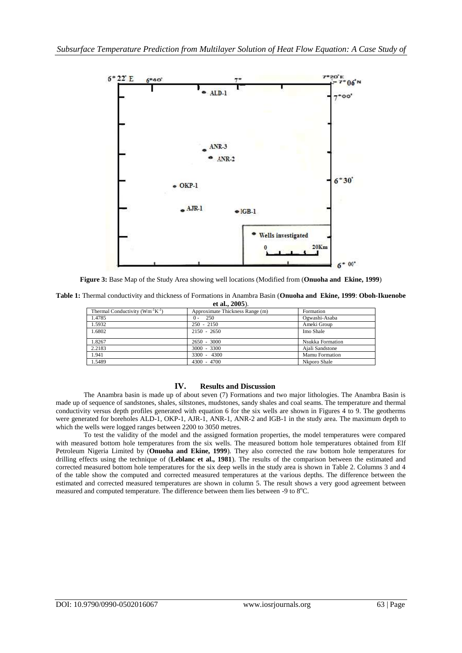

**Figure 3:** Base Map of the Study Area showing well locations (Modified from (**Onuoha and Ekine, 1999**)

|                   | Table 1: Thermal conductivity and thickness of Formations in Anambra Basin (Onuoha and Ekine, 1999: Oboh-Ikuenobe |  |  |  |  |  |  |
|-------------------|-------------------------------------------------------------------------------------------------------------------|--|--|--|--|--|--|
| et al., $2005$ ). |                                                                                                                   |  |  |  |  |  |  |
|                   |                                                                                                                   |  |  |  |  |  |  |

| Thermal Conductivity $(Wm^{-1}K^{-1})$ | Approximate Thickness Range (m) | Formation             |
|----------------------------------------|---------------------------------|-----------------------|
| 1.4785                                 | 250<br>$^{0}$ -                 | Ogwashi-Asaba         |
| 1.5932                                 | $250 - 2150$                    | Ameki Group           |
| 1.6802                                 | $2150 - 2650$                   | Imo Shale             |
|                                        |                                 |                       |
| 1.8267                                 | $2650 - 3000$                   | Nsukka Formation      |
| 2.2183                                 | $3000 - 3300$                   | Ajali Sandstone       |
| 1.941                                  | 3300 - 4300                     | <b>Mamu Formation</b> |
| 1.5489                                 | $4300 - 4700$                   | Nkporo Shale          |
|                                        |                                 |                       |

### **IV. Results and Discussion**

The Anambra basin is made up of about seven (7) Formations and two major lithologies. The Anambra Basin is made up of sequence of sandstones, shales, siltstones, mudstones, sandy shales and coal seams. The temperature and thermal conductivity versus depth profiles generated with equation 6 for the six wells are shown in Figures 4 to 9. The geotherms were generated for boreholes ALD-1, OKP-1, AJR-1, ANR-1, ANR-2 and IGB-1 in the study area. The maximum depth to which the wells were logged ranges between 2200 to 3050 metres.

To test the validity of the model and the assigned formation properties, the model temperatures were compared with measured bottom hole temperatures from the six wells. The measured bottom hole temperatures obtained from Elf Petroleum Nigeria Limited by (**Onuoha and Ekine, 1999**). They also corrected the raw bottom hole temperatures for drilling effects using the technique of (**Leblanc et al., 1981**). The results of the comparison between the estimated and corrected measured bottom hole temperatures for the six deep wells in the study area is shown in Table 2. Columns 3 and 4 of the table show the computed and corrected measured temperatures at the various depths. The difference between the estimated and corrected measured temperatures are shown in column 5. The result shows a very good agreement between measured and computed temperature. The difference between them lies between -9 to  $8^{\circ}$ C.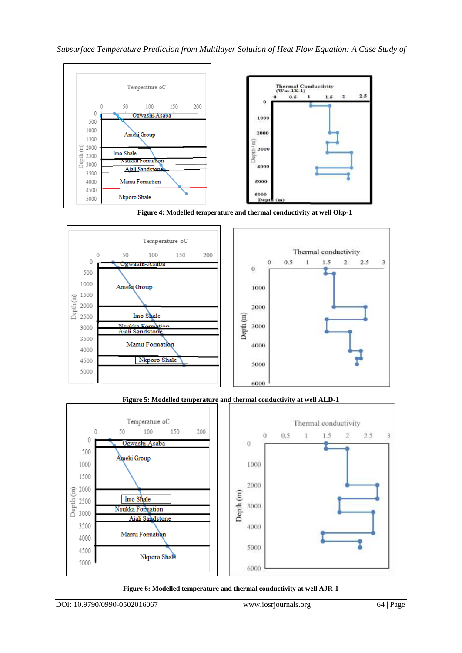

 **Figure 4: Modelled temperature and thermal conductivity at well Okp-1**



**Figure 5: Modelled temperature and thermal conductivity at well ALD-1**



**Figure 6: Modelled temperature and thermal conductivity at well AJR-1**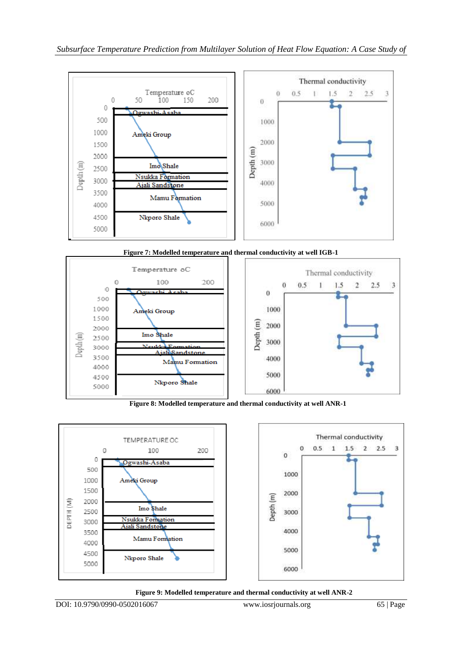

**Figure 7: Modelled temperature and thermal conductivity at well IGB-1**



 **Figure 8: Modelled temperature and thermal conductivity at well ANR-1**



 **Figure 9: Modelled temperature and thermal conductivity at well ANR-2**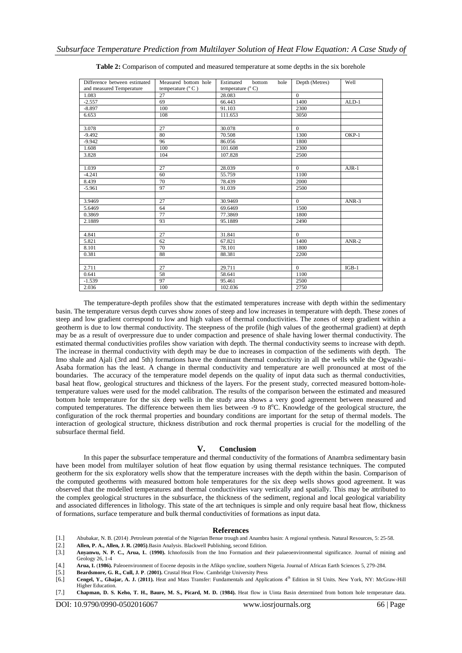| Difference between estimated | Measured bottom hole       | Estimated<br>bottom<br>hole | Depth (Metres) | Well        |
|------------------------------|----------------------------|-----------------------------|----------------|-------------|
| and measured Temperature     | temperature $(^{\circ}$ C) | temperature $(^{\circ}$ C)  |                |             |
| 1.083                        | 27                         | 28.083                      | $\theta$       |             |
| $-2.557$                     | 69                         | 66.443                      | 1400           | $ALD-1$     |
| $-8.897$                     | 100                        | 91.103                      | 2300           |             |
| 6.653                        | 108                        | 111.653                     | 3050           |             |
|                              |                            |                             |                |             |
| 3.078                        | 27                         | 30.078                      | $\mathbf{0}$   |             |
| $-9.492$                     | 80                         | 70.508                      | 1300           | OKP-1       |
| $-9.942$                     | 96                         | 86.056                      | 1800           |             |
| 1.608                        | 100                        | 101.608                     | 2300           |             |
| 3.828                        | 104                        | 107.828                     | 2500           |             |
|                              |                            |                             |                |             |
| 1.039                        | 27                         | 28.039                      | $\theta$       | $A$ JR- $1$ |
| $-4.241$                     | 60                         | 55.759                      | 1100           |             |
| 8.439                        | 70                         | 78.439                      | 2000           |             |
| $-5.961$                     | 97                         | 91.039                      | 2500           |             |
|                              |                            |                             |                |             |
| 3.9469                       | 27                         | 30.9469                     | $\theta$       | $ANR-3$     |
| 5.6469                       | 64                         | 69.6469                     | 1500           |             |
| 0.3869                       | 77                         | 77.3869                     | 1800           |             |
| 2.1889                       | 93                         | 95.1889                     | 2490           |             |
|                              |                            |                             |                |             |
| 4.841                        | 27                         | 31.841                      | $\theta$       |             |
| 5.821                        | 62                         | 67.821                      | 1400           | $ANR-2$     |
| 8.101                        | 70                         | 78.101                      | 1800           |             |
| 0.381                        | 88                         | 88.381                      | 2200           |             |
|                              |                            |                             |                |             |
| 2.711                        | 27                         | 29.711                      | $\theta$       | $IGB-1$     |
| 0.641                        | 58                         | 58.641                      | 1100           |             |
| $-1.539$                     | 97                         | 95.461                      | 2500           |             |
| 2.036                        | 100                        | 102.036                     | 2750           |             |

**Table 2:** Comparison of computed and measured temperature at some depths in the six borehole

The temperature-depth profiles show that the estimated temperatures increase with depth within the sedimentary basin. The temperature versus depth curves show zones of steep and low increases in temperature with depth. These zones of steep and low gradient correspond to low and high values of thermal conductivities. The zones of steep gradient within a geotherm is due to low thermal conductivity. The steepness of the profile (high values of the geothermal gradient) at depth may be as a result of overpressure due to under compaction and presence of shale having lower thermal conductivity. The estimated thermal conductivities profiles show variation with depth. The thermal conductivity seems to increase with depth. The increase in thermal conductivity with depth may be due to increases in compaction of the sediments with depth. The Imo shale and Ajali (3rd and 5th) formations have the dominant thermal conductivity in all the wells while the Ogwashi-Asaba formation has the least. A change in thermal conductivity and temperature are well pronounced at most of the boundaries. The accuracy of the temperature model depends on the quality of input data such as thermal conductivities, basal heat flow, geological structures and thickness of the layers. For the present study, corrected measured bottom-holetemperature values were used for the model calibration. The results of the comparison between the estimated and measured bottom hole temperature for the six deep wells in the study area shows a very good agreement between measured and computed temperatures. The difference between them lies between -9 to 8°C. Knowledge of the geological structure, the configuration of the rock thermal properties and boundary conditions are important for the setup of thermal models. The interaction of geological structure, thickness distribution and rock thermal properties is crucial for the modelling of the subsurface thermal field.

#### **V. Conclusion**

In this paper the subsurface temperature and thermal conductivity of the formations of Anambra sedimentary basin have been model from multilayer solution of heat flow equation by using thermal resistance techniques. The computed geotherm for the six exploratory wells show that the temperature increases with the depth within the basin. Comparison of the computed geotherms with measured bottom hole temperatures for the six deep wells shows good agreement. It was observed that the modelled temperatures and thermal conductivities vary vertically and spatially. This may be attributed to the complex geological structures in the subsurface, the thickness of the sediment, regional and local geological variability and associated differences in lithology. This state of the art techniques is simple and only require basal heat flow, thickness of formations, surface temperature and bulk thermal conductivities of formations as input data.

#### **References**

- [1.] Abubakar, N. B. (2014) .Petroleum potential of the Nigerian Benue trough and Anambra basin: A regional synthesis. Natural Resources, 5: 25-58.
- [2.] **Allen, P. A., Allen, J. R.** (**2005)**.Basin Analysis. Blackwell Publishing, second Edition.
- [3.] **Anyanwu, N. P. C., Arua, I.**. (**1990).** Ichnofossils from the Imo Formation and their palaeoenvironmental significance. Journal of mining and Geology 26, 1-4
- [4.] **Arua, I. (1986).** Paleoenvironment of Eocene deposits in the Afikpo syncline, southern Nigeria. Journal of African Earth Sciences 5, 279-284.<br>[5.] **Beardsmore, G. R., Cull, J. P**. (2001). Crustal Heat Flow. Cambridge
- [5.] **Beardsmore, G. R., Cull, J. P**. (**2001).** Crustal Heat Flow. Cambridge University Press
- [6.] **Cengel, Y., Ghajar, A. J. (2011).** Heat and Mass Transfer: Fundamentals and Applications 4<sup>th</sup> Edition in SI Units. New York, NY: McGraw-Hill Higher Education.
- [7.] **Chapman, D. S. Keho, T. H., Baure, M. S., Picard, M. D.** (**1984).** Heat flow in Uinta Basin determined from bottom hole temperature data.

DOI: 10.9790/0990-0502016067 www.iosrjournals.org 66 | Page